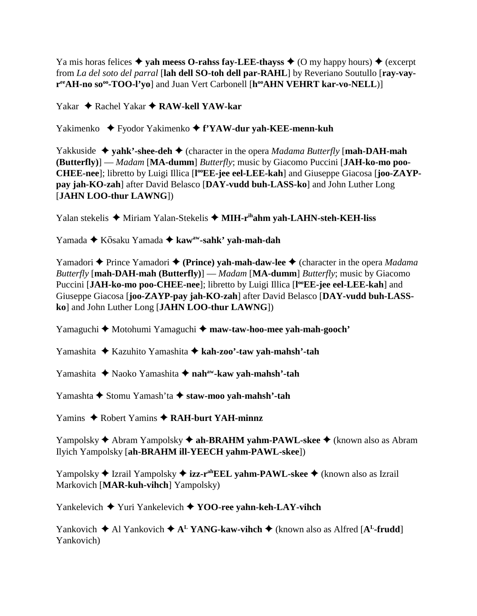Ya mis horas felices  $\triangle$  vah meess O-rahss fay-LEE-thayss  $\triangle$  (O my happy hours)  $\triangle$  (excerpt from *La del soto del parral* [**lah dell SO-toh dell par-RAHL**] by Reveriano Soutullo [**ray-vay**r<sup>ee</sup>AH-no so<sup>oo</sup>-TOO-l'yo] and Juan Vert Carbonell [h<sup>oo</sup>AHN VEHRT kar-vo-NELL)]

Yakar ◆ Rachel Yakar **◆ RAW-kell YAW-kar** 

Yakimenko Fyodor Yakimenko **f'YAW-dur yah-KEE-menn-kuh**

Yakkuside  $\rightarrow$  **yahk'-shee-deh**  $\rightarrow$  (character in the opera *Madama Butterfly* [**mah-DAH-mah (Butterfly)**] — *Madam* [**MA-dumm**] *Butterfly*; music by Giacomo Puccini [**JAH-ko-mo poo-**CHEE-nee]; libretto by Luigi Illica [l<sup>oo</sup>EE-jee eel-LEE-kah] and Giuseppe Giacosa [joo-ZAYP**pay jah-KO-zah**] after David Belasco [**DAY-vudd buh-LASS-ko**] and John Luther Long [**JAHN LOO-thur LAWNG**])

Yalan stekelis ◆ Miriam Yalan-Stekelis ◆ MIH-r<sup>ih</sup>ahm yah-LAHN-steh-KEH-liss

Yamada ◆ Kōsaku Yamada ◆ kaw<sup>aw</sup>-sahk' yah-mah-dah

Yamadori **→** Prince Yamadori ◆ (Prince) yah-mah-daw-lee ◆ (character in the opera *Madama Butterfly* [**mah-DAH-mah (Butterfly)**] — *Madam* [**MA-dumm**] *Butterfly*; music by Giacomo Puccini [JAH-ko-mo poo-CHEE-nee]; libretto by Luigi Illica [l<sup>oo</sup>EE-jee eel-LEE-kah] and Giuseppe Giacosa [**joo-ZAYP-pay jah-KO-zah**] after David Belasco [**DAY-vudd buh-LASSko**] and John Luther Long [**JAHN LOO-thur LAWNG**])

Yamaguchi **→** Motohumi Yamaguchi → maw-taw-hoo-mee yah-mah-gooch'

Yamashita Kazuhito Yamashita **kah-zoo'-taw yah-mahsh'-tah**

Yamashita  **↑** Naoko Yamashita **↑ nah<sup>aw</sup>-kaw yah-mahsh'-tah** 

Yamashta **→** Stomu Yamash'ta **→ staw-moo yah-mahsh'-tah** 

Yamins ◆ Robert Yamins ◆ RAH-burt YAH-minnz

Yampolsky **→** Abram Yampolsky **→ ah-BRAHM yahm-PAWL-skee** → (known also as Abram Ilyich Yampolsky [**ah-BRAHM ill-YEECH yahm-PAWL-skee**])

Yampolsky ◆ Izrail Yampolsky ◆ **izz-r<sup>ah</sup>EEL yahm-PAWL-skee** ◆ (known also as Izrail Markovich [**MAR-kuh-vihch**] Yampolsky)

Yankelevich Yuri Yankelevich **YOO-ree yahn-keh-LAY-vihch**

Yankovich  $\triangle$  Al Yankovich  $\triangle$  A<sup>L</sup> YANG-kaw-vihch  $\triangle$  (known also as Alfred [A<sup>L</sup>-frudd] Yankovich)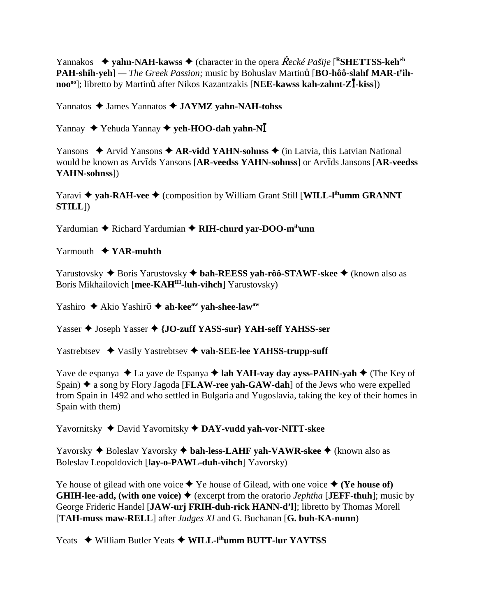Yannakos  $\rightarrow$  vahn-NAH-kawss  $\rightarrow$  (character in the opera *Recké Pašije* [<sup>R</sup>SHETTSS-keh<sup>eh</sup>] PAH-shih-yeh] — The Greek Passion; music by Bohuslav Martinů [BO-hôô-slahf MAR-t<sup>y</sup>ihnoo<sup>oo</sup>]; libretto by Martinu after Nikos Kazantzakis [NEE-kawss kah-zahnt-Z**l**-kiss])

Yannatos James Yannatos **JAYMZ yahn-NAH-tohss**

Yannay **→** Yehuda Yannay **→ yeh-HOO-dah yahn-NI** 

Yansons  $\triangle$  Arvid Yansons  $\triangle$  AR-vidd YAHN-sohnss  $\triangle$  (in Latvia, this Latvian National would be known as Arvids Yansons [AR-veedss YAHN-sohnss] or Arvids Jansons [AR-veedss **YAHN-sohnss**])

Yaravi **→ yah-RAH-vee →** (composition by William Grant Still [WILL-l<sup>ih</sup>umm GRANNT **STILL**])

Yardumian **←** Richard Yardumian ← RIH-churd yar-DOO-m<sup>ih</sup>unn

Yarmouth **YAR-muhth**

Yarustovsky ◆ Boris Yarustovsky ◆ bah-REESS yah-rôô-STAWF-skee ◆ (known also as Boris Mikhailovich [**mee-KAHIH-luh-vihch**] Yarustovsky)

Yashiro ◆ Akio Yashirō ◆ ah-kee<sup>aw</sup> yah-shee-law<sup>aw</sup>

Yasser ♦ Joseph Yasser ♦ {**JO-zuff YASS-sur**} YAH-seff YAHSS-ser

Yastrebtsev **→** Vasily Yastrebtsev → vah-SEE-lee YAHSS-trupp-suff

Yave de espanya  $\triangle$  La yave de Espanya  $\triangle$  **lah YAH-vay day ayss-PAHN-yah**  $\triangle$  (The Key of Spain)  $\triangle$  a song by Flory Jagoda [**FLAW-ree yah-GAW-dah**] of the Jews who were expelled from Spain in 1492 and who settled in Bulgaria and Yugoslavia, taking the key of their homes in Spain with them)

Yavornitsky  $\triangle$  David Yavornitsky  $\triangle$  DAY-vudd vah-vor-NITT-skee

Yavorsky Boleslav Yavorsky **bah-less-LAHF yah-VAWR-skee** (known also as Boleslav Leopoldovich [**lay-o-PAWL-duh-vihch**] Yavorsky)

Ye house of gilead with one voice  $\blacklozenge$  Ye house of Gilead, with one voice  $\blacklozenge$  (Ye house of) **GHIH-lee-add, (with one voice)**  $\blacklozenge$  (excerpt from the oratorio *Jephtha* [JEFF-thuh]; music by George Frideric Handel [**JAW-urj FRIH-duh-rick HANN-d'l**]; libretto by Thomas Morell [**TAH-muss maw-RELL**] after *Judges XI* and G. Buchanan [**G. buh-KA-nunn**)

Yeats ◆ William Butler Yeats ◆ WILL-l<sup>ih</sup>umm BUTT-lur YAYTSS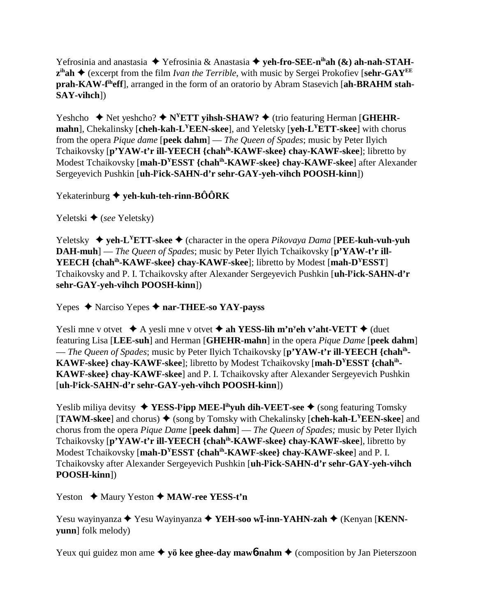Yefrosinia and anastasia ◆ Yefrosinia & Anastasia ◆ yeh-fro-SEE-n<sup>ih</sup>ah (&) ah-nah-STAH $z<sup>ih</sup>ah  $\blacklozenge$  (except from the film *Ivan the Terrible*, with music by Sergei Prokofiev [sehr-GAY<sup>EE</sup>]$ **prah-KAW-fiheff**], arranged in the form of an oratorio by Abram Stasevich [**ah-BRAHM stah-SAY-vihch**])

Yeshcho  $\blacklozenge$  Net yeshcho?  $\blacklozenge$  N<sup>Y</sup>ETT yihsh-SHAW?  $\blacklozenge$  (trio featuring Herman [GHEHR**mahn**], Chekalinsky [**cheh-kah-LYEEN-skee**], and Yeletsky [**yeh-LYETT-skee**] with chorus from the opera *Pique dame* [**peek dahm**] — *The Queen of Spades*; music by Peter Ilyich Tchaikovsky [**p'YAW-t'r ill-YEECH {chahih-KAWF-skee} chay-KAWF-skee**]; libretto by Modest Tchaikovsky [**mah-DYESST {chahih-KAWF-skee} chay-KAWF-skee**] after Alexander Sergeyevich Pushkin [**uh-ly ick-SAHN-d'r sehr-GAY-yeh-vihch POOSH-kinn**])

Yekaterinburg **yeh-kuh-teh-rinn-BÔÔRK**

Yeletski ◆ (*see* Yeletsky)

Yeletsky  $\blacklozenge$  **yeh-L<sup>Y</sup>ETT-skee**  $\blacklozenge$  (character in the opera *Pikovaya Dama* [**PEE-kuh-vuh-vuh DAH-muh**] — *The Queen of Spades*; music by Peter Ilyich Tchaikovsky [**p'YAW-t'r ill-YEECH {chahih-KAWF-skee} chay-KAWF-skee**]; libretto by Modest [**mah-DYESST**] Tchaikovsky and P. I. Tchaikovsky after Alexander Sergeyevich Pushkin [**uh-ly ick-SAHN-d'r sehr-GAY-yeh-vihch POOSH-kinn**])

Yepes Narciso Yepes **nar-THEE-so YAY-payss**

Yesli mne v otvet  $\star$  A yesli mne v otvet  $\star$  ah YESS-lih m'n<sup>y</sup>eh v'aht-VETT  $\star$  (duet featuring Lisa [**LEE-suh**] and Herman [**GHEHR-mahn**] in the opera *Pique Dame* [**peek dahm**] — *The Queen of Spades*; music by Peter Ilyich Tchaikovsky [**p'YAW-t'r ill-YEECH {chahih-KAWF-skee} chay-KAWF-skee**]; libretto by Modest Tchaikovsky [**mah-DYESST {chahih-KAWF-skee} chay-KAWF-skee**] and P. I. Tchaikovsky after Alexander Sergeyevich Pushkin [**uh-ly ick-SAHN-d'r sehr-GAY-yeh-vihch POOSH-kinn**])

Yeslib miliya devitsy ◆ YESS-l<sup>y</sup>ipp MEE-l<sup>ih</sup>yuh dih-VEET-see ◆ (song featuring Tomsky  $[TAWM-skee]$  and chorus)  $\blacklozenge$  (song by Tomsky with Chekalinsky [cheh-kah-L<sup>Y</sup>EEN-skee] and chorus from the opera *Pique Dame* [**peek dahm**] — *The Queen of Spades;* music by Peter Ilyich Tchaikovsky [**p'YAW-t'r ill-YEECH {chahih-KAWF-skee} chay-KAWF-skee**], libretto by Modest Tchaikovsky [**mah-DYESST {chahih-KAWF-skee} chay-KAWF-skee**] and P. I. Tchaikovsky after Alexander Sergeyevich Pushkin [**uh-ly ick-SAHN-d'r sehr-GAY-yeh-vihch POOSH-kinn**])

Yeston ◆ Maury Yeston ◆ MAW-ree YESS-t'n

Yesu wayinyanza ◆ Yesu Wayinyanza ◆ YEH-soo w**ī-inn-YAHN-zah ◆** (Kenyan [KENN**yunn**] folk melody)

Yeux qui guidez mon ame  $\triangleq$  yö kee ghee-day mawb-nahm  $\triangleq$  (composition by Jan Pieterszoon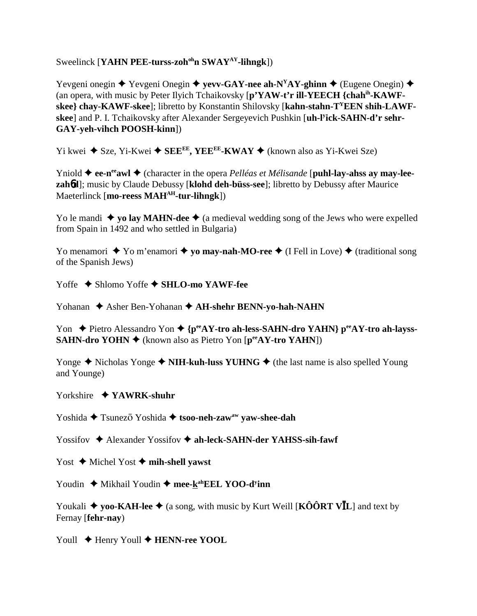Sweelinck [**YAHN PEE-turss-zoh<sup>oh</sup>n SWAY<sup>AY</sup>-lihngk**])

Yevgeni onegin  $\blacklozenge$  Yevgeni Onegin  $\blacklozenge$  yevv-GAY-nee ah-N<sup>Y</sup>AY-ghinn  $\blacklozenge$  (Eugene Onegin)  $\blacklozenge$ (an opera, with music by Peter Ilyich Tchaikovsky [**p'YAW-t'r ill-YEECH {chahih-KAWFskee} chay-KAWF-skee**]; libretto by Konstantin Shilovsky [**kahn-stahn-TYEEN shih-LAWFskee**] and P. I. Tchaikovsky after Alexander Sergeyevich Pushkin [**uh-ly ick-SAHN-d'r sehr-GAY-yeh-vihch POOSH-kinn**])

 $Y$ i kwei ◆ Sze, Yi-Kwei ◆ SEE<sup>EE</sup>, YEE<sup>EE</sup>-KWAY ◆ (known also as Yi-Kwei Sze)

Yniold  $\triangle$  ee-n<sup>ee</sup>awl  $\triangle$  (character in the opera *Pelléas et Mélisande* [**puhl-lay-ahss ay may-leezah**6**d**]; music by Claude Debussy [**klohd deh-büss-see**]; libretto by Debussy after Maurice Maeterlinck [**mo-reess MAHAH-tur-lihngk**])

Yo le mandi  $\blacklozenge$  yo lay MAHN-dee  $\blacklozenge$  (a medieval wedding song of the Jews who were expelled from Spain in 1492 and who settled in Bulgaria)

Yo menamori  $\blacklozenge$  Yo m'enamori  $\blacklozenge$  **yo may-nah-MO-ree**  $\blacklozenge$  (I Fell in Love)  $\blacklozenge$  (traditional song of the Spanish Jews)

Yoffe  $\triangle$  Shlomo Yoffe  $\triangle$  SHLO-mo YAWF-fee

Yohanan  $\triangle$  Asher Ben-Yohanan  $\triangle$  AH-shehr BENN-yo-hah-NAHN

Yon ◆ Pietro Alessandro Yon ◆ {p<sup>ee</sup>AY-tro ah-less-SAHN-dro YAHN} p<sup>ee</sup>AY-tro ah-layss-**SAHN-dro YOHN ♦** (known also as Pietro Yon [**p**<sup>ee</sup>**AY-tro YAHN**])

Yonge  $\triangle$  Nicholas Yonge  $\triangle$  **NIH-kuh-luss YUHNG**  $\triangle$  (the last name is also spelled Young and Younge)

Yorkshire **YAWRK-shuhr**

Yoshida **→** Tsunez<del>o</del> Yoshida → tsoo-neh-zaw<sup>aw</sup> yaw-shee-dah

Yossifov **→** Alexander Yossifov **→ ah-leck-SAHN-der YAHSS-sih-fawf** 

Yost  $\triangle$  Michel Yost  $\triangle$  mih-shell yawst

Youdin ◆ Mikhail Youdin ◆ mee-kahEEL YOO-d<sup>y</sup>inn

Youkali  $\blacklozenge$  yoo-KAH-lee  $\blacklozenge$  (a song, with music by Kurt Weill [KOORT VIL] and text by Fernay [**fehr-nay**)

Youll  $\triangle$  Henry Youll  $\triangle$  **HENN-ree YOOL**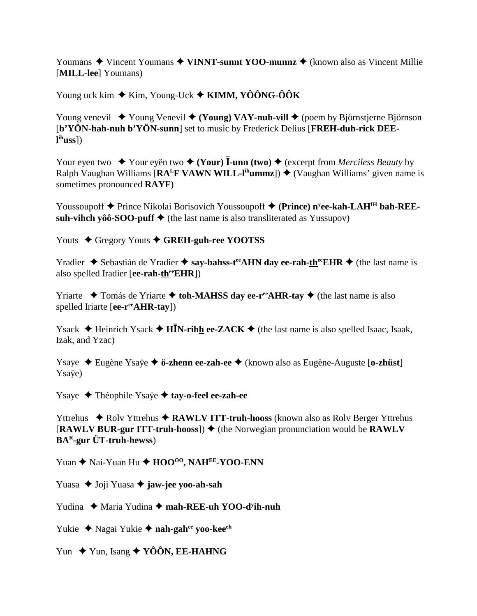Youmans  $\triangle$  Vincent Youmans  $\triangle$  VINNT-sunnt YOO-munnz  $\triangle$  (known also as Vincent Millie) [MILL-lee] Youmans)

Young uck kim  $\triangle$  Kim, Young-Uck  $\triangle$  KIMM, YÔÔNG-ÔÔK

Young venevil  $\rightarrow$  Young Venevil  $\rightarrow$  (Young) VAY-nuh-vill  $\rightarrow$  (poem by Björnstjerne Björnson [b'YÖN-hah-nuh b'YÖN-sunn] set to music by Frederick Delius [FREH-duh-rick DEE- $\mathbf{l}^{\text{ih}}$ uss $\mathbf{l}$ 

Your eyen two  $\star$  Your eyen two  $\star$  (Your) **I**-unn (two)  $\star$  (excerpt from *Merciless Beauty* by Ralph Vaughan Williams [ $RA^L$ F VAWN WILL-l<sup>ih</sup>ummz])  $\blacklozenge$  (Vaughan Williams' given name is sometimes pronounced RAYF)

Youssoupoff  $\blacklozenge$  Prince Nikolai Borisovich Youssoupoff  $\blacklozenge$  (Prince) n<sup>y</sup>ee-kah-LAH<sup>IH</sup> bah-REEsuh-vihch vôô-SOO-puff  $\blacklozenge$  (the last name is also transliterated as Yussupov)

Youts  $\triangle$  Gregory Youts  $\triangle$  GREH-guh-ree YOOTSS

Yradier  $\triangle$  Sebastián de Yradier  $\triangle$  say-bahss-t<sup>ee</sup> AHN day ee-rah-th<sup>ee</sup> EHR  $\triangle$  (the last name is also spelled Iradier [ee-rah- $th^{\text{ee}}EHR$ ])

Yriarte  $\rightarrow$  Tomás de Yriarte  $\rightarrow$  toh-MAHSS day ee-r<sup>ee</sup>AHR-tay  $\rightarrow$  (the last name is also spelled Iriarte [ee-ree AHR-tay])

Ysack  $\triangle$  Heinrich Ysack  $\triangle$  HIN-rihh ee-ZACK  $\triangle$  (the last name is also spelled Isaac, Isaak, Izak, and Yzac)

Ysaye ◆ Eugène Ysaye ◆ ö-zhenn ee-zah-ee ◆ (known also as Eugène-Auguste [o-zhüst] Ysave)

Ysaye ◆ Théophile Ysaÿe ◆ tay-o-feel ee-zah-ee

Yttrehus ◆ Rolv Yttrehus ◆ RAWLV ITT-truh-hooss (known also as Rolv Berger Yttrehus [RAWLV BUR-gur ITT-truh-hooss])  $\triangleq$  (the Norwegian pronunciation would be RAWLV  $BA<sup>R</sup>$ -gur ÜT-truh-hewss)

Yuan  $\triangle$  Nai-Yuan Hu  $\triangle$  HOO<sup>oo</sup>, NAH<sup>EE</sup>-YOO-ENN

Yuasa  $\triangle$  Joji Yuasa  $\triangle$  jaw-jee yoo-ah-sah

Yudina  $\triangle$  Maria Yudina  $\triangle$  mah-REE-uh YOO-d<sup>y</sup>ih-nuh

Yukie  $\triangle$  Nagai Yukie  $\triangle$  nah-gah<sup>ee</sup> voo-kee<sup>eh</sup>

Yun  $\leftrightarrow$  Yun, Isang  $\leftrightarrow$  YÔÔN, EE-HAHNG